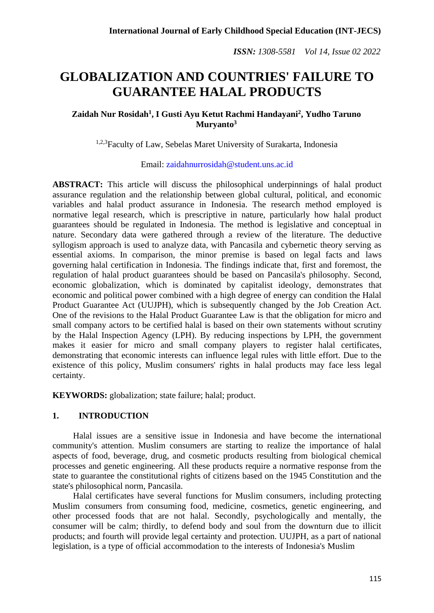# **GLOBALIZATION AND COUNTRIES' FAILURE TO GUARANTEE HALAL PRODUCTS**

## **Zaidah Nur Rosidah<sup>1</sup> , I Gusti Ayu Ketut Rachmi Handayani<sup>2</sup> , Yudho Taruno Muryanto<sup>3</sup>**

<sup>1,2,3</sup>Faculty of Law, Sebelas Maret University of Surakarta, Indonesia

Email: [zaidahnurrosidah@student.uns.ac.id](mailto:zaidahnurrosidah@student.uns.ac.id)

**ABSTRACT:** This article will discuss the philosophical underpinnings of halal product assurance regulation and the relationship between global cultural, political, and economic variables and halal product assurance in Indonesia. The research method employed is normative legal research, which is prescriptive in nature, particularly how halal product guarantees should be regulated in Indonesia. The method is legislative and conceptual in nature. Secondary data were gathered through a review of the literature. The deductive syllogism approach is used to analyze data, with Pancasila and cybernetic theory serving as essential axioms. In comparison, the minor premise is based on legal facts and laws governing halal certification in Indonesia. The findings indicate that, first and foremost, the regulation of halal product guarantees should be based on Pancasila's philosophy. Second, economic globalization, which is dominated by capitalist ideology, demonstrates that economic and political power combined with a high degree of energy can condition the Halal Product Guarantee Act (UUJPH), which is subsequently changed by the Job Creation Act. One of the revisions to the Halal Product Guarantee Law is that the obligation for micro and small company actors to be certified halal is based on their own statements without scrutiny by the Halal Inspection Agency (LPH). By reducing inspections by LPH, the government makes it easier for micro and small company players to register halal certificates, demonstrating that economic interests can influence legal rules with little effort. Due to the existence of this policy, Muslim consumers' rights in halal products may face less legal certainty.

**KEYWORDS:** globalization; state failure; halal; product.

## **1. INTRODUCTION**

Halal issues are a sensitive issue in Indonesia and have become the international community's attention. Muslim consumers are starting to realize the importance of halal aspects of food, beverage, drug, and cosmetic products resulting from biological chemical processes and genetic engineering. All these products require a normative response from the state to guarantee the constitutional rights of citizens based on the 1945 Constitution and the state's philosophical norm, Pancasila.

Halal certificates have several functions for Muslim consumers, including protecting Muslim consumers from consuming food, medicine, cosmetics, genetic engineering, and other processed foods that are not halal. Secondly, psychologically and mentally, the consumer will be calm; thirdly, to defend body and soul from the downturn due to illicit products; and fourth will provide legal certainty and protection. UUJPH, as a part of national legislation, is a type of official accommodation to the interests of Indonesia's Muslim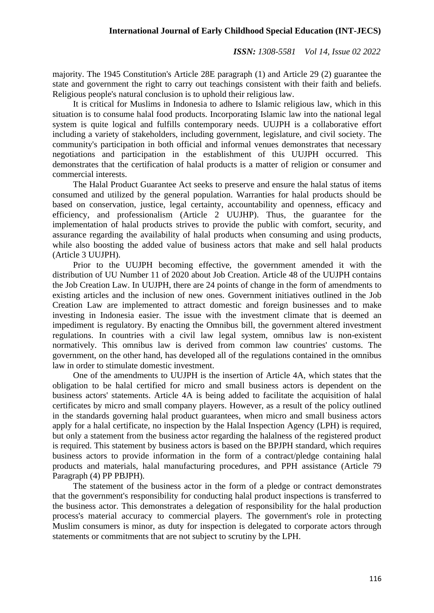majority. The 1945 Constitution's Article 28E paragraph (1) and Article 29 (2) guarantee the state and government the right to carry out teachings consistent with their faith and beliefs. Religious people's natural conclusion is to uphold their religious law.

It is critical for Muslims in Indonesia to adhere to Islamic religious law, which in this situation is to consume halal food products. Incorporating Islamic law into the national legal system is quite logical and fulfills contemporary needs. UUJPH is a collaborative effort including a variety of stakeholders, including government, legislature, and civil society. The community's participation in both official and informal venues demonstrates that necessary negotiations and participation in the establishment of this UUJPH occurred. This demonstrates that the certification of halal products is a matter of religion or consumer and commercial interests.

The Halal Product Guarantee Act seeks to preserve and ensure the halal status of items consumed and utilized by the general population. Warranties for halal products should be based on conservation, justice, legal certainty, accountability and openness, efficacy and efficiency, and professionalism (Article 2 UUJHP). Thus, the guarantee for the implementation of halal products strives to provide the public with comfort, security, and assurance regarding the availability of halal products when consuming and using products, while also boosting the added value of business actors that make and sell halal products (Article 3 UUJPH).

Prior to the UUJPH becoming effective, the government amended it with the distribution of UU Number 11 of 2020 about Job Creation. Article 48 of the UUJPH contains the Job Creation Law. In UUJPH, there are 24 points of change in the form of amendments to existing articles and the inclusion of new ones. Government initiatives outlined in the Job Creation Law are implemented to attract domestic and foreign businesses and to make investing in Indonesia easier. The issue with the investment climate that is deemed an impediment is regulatory. By enacting the Omnibus bill, the government altered investment regulations. In countries with a civil law legal system, omnibus law is non-existent normatively. This omnibus law is derived from common law countries' customs. The government, on the other hand, has developed all of the regulations contained in the omnibus law in order to stimulate domestic investment.

One of the amendments to UUJPH is the insertion of Article 4A, which states that the obligation to be halal certified for micro and small business actors is dependent on the business actors' statements. Article 4A is being added to facilitate the acquisition of halal certificates by micro and small company players. However, as a result of the policy outlined in the standards governing halal product guarantees, when micro and small business actors apply for a halal certificate, no inspection by the Halal Inspection Agency (LPH) is required, but only a statement from the business actor regarding the halalness of the registered product is required. This statement by business actors is based on the BPJPH standard, which requires business actors to provide information in the form of a contract/pledge containing halal products and materials, halal manufacturing procedures, and PPH assistance (Article 79 Paragraph (4) PP PBJPH).

The statement of the business actor in the form of a pledge or contract demonstrates that the government's responsibility for conducting halal product inspections is transferred to the business actor. This demonstrates a delegation of responsibility for the halal production process's material accuracy to commercial players. The government's role in protecting Muslim consumers is minor, as duty for inspection is delegated to corporate actors through statements or commitments that are not subject to scrutiny by the LPH.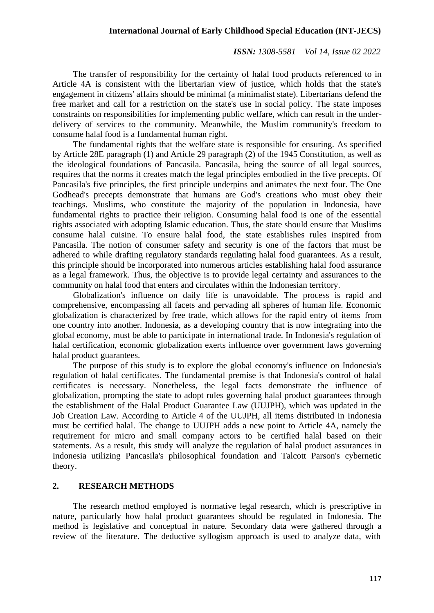### **International Journal of Early Childhood Special Education (INT-JECS)**

#### *ISSN: 1308-5581 Vol 14, Issue 02 2022*

The transfer of responsibility for the certainty of halal food products referenced to in Article 4A is consistent with the libertarian view of justice, which holds that the state's engagement in citizens' affairs should be minimal (a minimalist state). Libertarians defend the free market and call for a restriction on the state's use in social policy. The state imposes constraints on responsibilities for implementing public welfare, which can result in the underdelivery of services to the community. Meanwhile, the Muslim community's freedom to consume halal food is a fundamental human right.

The fundamental rights that the welfare state is responsible for ensuring. As specified by Article 28E paragraph (1) and Article 29 paragraph (2) of the 1945 Constitution, as well as the ideological foundations of Pancasila. Pancasila, being the source of all legal sources, requires that the norms it creates match the legal principles embodied in the five precepts. Of Pancasila's five principles, the first principle underpins and animates the next four. The One Godhead's precepts demonstrate that humans are God's creations who must obey their teachings. Muslims, who constitute the majority of the population in Indonesia, have fundamental rights to practice their religion. Consuming halal food is one of the essential rights associated with adopting Islamic education. Thus, the state should ensure that Muslims consume halal cuisine. To ensure halal food, the state establishes rules inspired from Pancasila. The notion of consumer safety and security is one of the factors that must be adhered to while drafting regulatory standards regulating halal food guarantees. As a result, this principle should be incorporated into numerous articles establishing halal food assurance as a legal framework. Thus, the objective is to provide legal certainty and assurances to the community on halal food that enters and circulates within the Indonesian territory.

Globalization's influence on daily life is unavoidable. The process is rapid and comprehensive, encompassing all facets and pervading all spheres of human life. Economic globalization is characterized by free trade, which allows for the rapid entry of items from one country into another. Indonesia, as a developing country that is now integrating into the global economy, must be able to participate in international trade. In Indonesia's regulation of halal certification, economic globalization exerts influence over government laws governing halal product guarantees.

The purpose of this study is to explore the global economy's influence on Indonesia's regulation of halal certificates. The fundamental premise is that Indonesia's control of halal certificates is necessary. Nonetheless, the legal facts demonstrate the influence of globalization, prompting the state to adopt rules governing halal product guarantees through the establishment of the Halal Product Guarantee Law (UUJPH), which was updated in the Job Creation Law. According to Article 4 of the UUJPH, all items distributed in Indonesia must be certified halal. The change to UUJPH adds a new point to Article 4A, namely the requirement for micro and small company actors to be certified halal based on their statements. As a result, this study will analyze the regulation of halal product assurances in Indonesia utilizing Pancasila's philosophical foundation and Talcott Parson's cybernetic theory.

## **2. RESEARCH METHODS**

The research method employed is normative legal research, which is prescriptive in nature, particularly how halal product guarantees should be regulated in Indonesia. The method is legislative and conceptual in nature. Secondary data were gathered through a review of the literature. The deductive syllogism approach is used to analyze data, with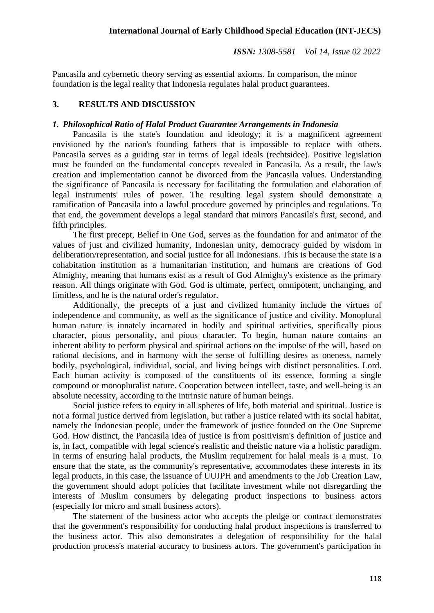Pancasila and cybernetic theory serving as essential axioms. In comparison, the minor foundation is the legal reality that Indonesia regulates halal product guarantees.

## **3. RESULTS AND DISCUSSION**

#### *1. Philosophical Ratio of Halal Product Guarantee Arrangements in Indonesia*

Pancasila is the state's foundation and ideology; it is a magnificent agreement envisioned by the nation's founding fathers that is impossible to replace with others. Pancasila serves as a guiding star in terms of legal ideals (rechtsidee). Positive legislation must be founded on the fundamental concepts revealed in Pancasila. As a result, the law's creation and implementation cannot be divorced from the Pancasila values. Understanding the significance of Pancasila is necessary for facilitating the formulation and elaboration of legal instruments' rules of power. The resulting legal system should demonstrate a ramification of Pancasila into a lawful procedure governed by principles and regulations. To that end, the government develops a legal standard that mirrors Pancasila's first, second, and fifth principles.

The first precept, Belief in One God, serves as the foundation for and animator of the values of just and civilized humanity, Indonesian unity, democracy guided by wisdom in deliberation/representation, and social justice for all Indonesians. This is because the state is a cohabitation institution as a humanitarian institution, and humans are creations of God Almighty, meaning that humans exist as a result of God Almighty's existence as the primary reason. All things originate with God. God is ultimate, perfect, omnipotent, unchanging, and limitless, and he is the natural order's regulator.

Additionally, the precepts of a just and civilized humanity include the virtues of independence and community, as well as the significance of justice and civility. Monoplural human nature is innately incarnated in bodily and spiritual activities, specifically pious character, pious personality, and pious character. To begin, human nature contains an inherent ability to perform physical and spiritual actions on the impulse of the will, based on rational decisions, and in harmony with the sense of fulfilling desires as oneness, namely bodily, psychological, individual, social, and living beings with distinct personalities. Lord. Each human activity is composed of the constituents of its essence, forming a single compound or monopluralist nature. Cooperation between intellect, taste, and well-being is an absolute necessity, according to the intrinsic nature of human beings.

Social justice refers to equity in all spheres of life, both material and spiritual. Justice is not a formal justice derived from legislation, but rather a justice related with its social habitat, namely the Indonesian people, under the framework of justice founded on the One Supreme God. How distinct, the Pancasila idea of justice is from positivism's definition of justice and is, in fact, compatible with legal science's realistic and theistic nature via a holistic paradigm. In terms of ensuring halal products, the Muslim requirement for halal meals is a must. To ensure that the state, as the community's representative, accommodates these interests in its legal products, in this case, the issuance of UUJPH and amendments to the Job Creation Law, the government should adopt policies that facilitate investment while not disregarding the interests of Muslim consumers by delegating product inspections to business actors (especially for micro and small business actors).

The statement of the business actor who accepts the pledge or contract demonstrates that the government's responsibility for conducting halal product inspections is transferred to the business actor. This also demonstrates a delegation of responsibility for the halal production process's material accuracy to business actors. The government's participation in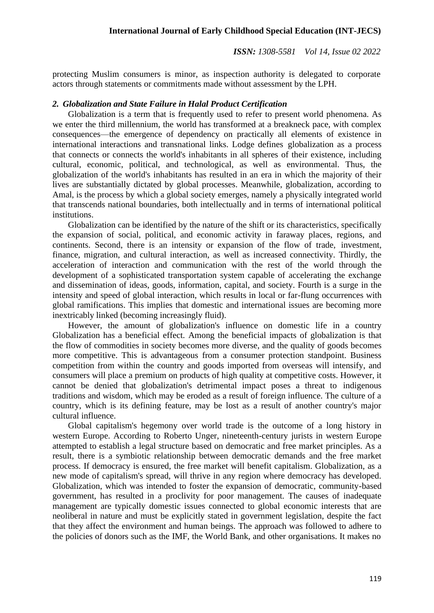protecting Muslim consumers is minor, as inspection authority is delegated to corporate actors through statements or commitments made without assessment by the LPH.

## *2. Globalization and State Failure in Halal Product Certification*

Globalization is a term that is frequently used to refer to present world phenomena. As we enter the third millennium, the world has transformed at a breakneck pace, with complex consequences—the emergence of dependency on practically all elements of existence in international interactions and transnational links. Lodge defines globalization as a process that connects or connects the world's inhabitants in all spheres of their existence, including cultural, economic, political, and technological, as well as environmental. Thus, the globalization of the world's inhabitants has resulted in an era in which the majority of their lives are substantially dictated by global processes. Meanwhile, globalization, according to Amal, is the process by which a global society emerges, namely a physically integrated world that transcends national boundaries, both intellectually and in terms of international political institutions.

Globalization can be identified by the nature of the shift or its characteristics, specifically the expansion of social, political, and economic activity in faraway places, regions, and continents. Second, there is an intensity or expansion of the flow of trade, investment, finance, migration, and cultural interaction, as well as increased connectivity. Thirdly, the acceleration of interaction and communication with the rest of the world through the development of a sophisticated transportation system capable of accelerating the exchange and dissemination of ideas, goods, information, capital, and society. Fourth is a surge in the intensity and speed of global interaction, which results in local or far-flung occurrences with global ramifications. This implies that domestic and international issues are becoming more inextricably linked (becoming increasingly fluid).

However, the amount of globalization's influence on domestic life in a country Globalization has a beneficial effect. Among the beneficial impacts of globalization is that the flow of commodities in society becomes more diverse, and the quality of goods becomes more competitive. This is advantageous from a consumer protection standpoint. Business competition from within the country and goods imported from overseas will intensify, and consumers will place a premium on products of high quality at competitive costs. However, it cannot be denied that globalization's detrimental impact poses a threat to indigenous traditions and wisdom, which may be eroded as a result of foreign influence. The culture of a country, which is its defining feature, may be lost as a result of another country's major cultural influence.

Global capitalism's hegemony over world trade is the outcome of a long history in western Europe. According to Roberto Unger, nineteenth-century jurists in western Europe attempted to establish a legal structure based on democratic and free market principles. As a result, there is a symbiotic relationship between democratic demands and the free market process. If democracy is ensured, the free market will benefit capitalism. Globalization, as a new mode of capitalism's spread, will thrive in any region where democracy has developed. Globalization, which was intended to foster the expansion of democratic, community-based government, has resulted in a proclivity for poor management. The causes of inadequate management are typically domestic issues connected to global economic interests that are neoliberal in nature and must be explicitly stated in government legislation, despite the fact that they affect the environment and human beings. The approach was followed to adhere to the policies of donors such as the IMF, the World Bank, and other organisations. It makes no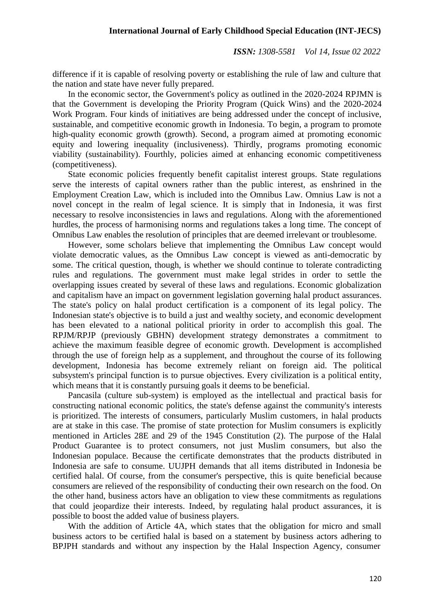difference if it is capable of resolving poverty or establishing the rule of law and culture that the nation and state have never fully prepared.

In the economic sector, the Government's policy as outlined in the 2020-2024 RPJMN is that the Government is developing the Priority Program (Quick Wins) and the 2020-2024 Work Program. Four kinds of initiatives are being addressed under the concept of inclusive, sustainable, and competitive economic growth in Indonesia. To begin, a program to promote high-quality economic growth (growth). Second, a program aimed at promoting economic equity and lowering inequality (inclusiveness). Thirdly, programs promoting economic viability (sustainability). Fourthly, policies aimed at enhancing economic competitiveness (competitiveness).

State economic policies frequently benefit capitalist interest groups. State regulations serve the interests of capital owners rather than the public interest, as enshrined in the Employment Creation Law, which is included into the Omnibus Law. Omnius Law is not a novel concept in the realm of legal science. It is simply that in Indonesia, it was first necessary to resolve inconsistencies in laws and regulations. Along with the aforementioned hurdles, the process of harmonising norms and regulations takes a long time. The concept of Omnibus Law enables the resolution of principles that are deemed irrelevant or troublesome.

However, some scholars believe that implementing the Omnibus Law concept would violate democratic values, as the Omnibus Law concept is viewed as anti-democratic by some. The critical question, though, is whether we should continue to tolerate contradicting rules and regulations. The government must make legal strides in order to settle the overlapping issues created by several of these laws and regulations. Economic globalization and capitalism have an impact on government legislation governing halal product assurances. The state's policy on halal product certification is a component of its legal policy. The Indonesian state's objective is to build a just and wealthy society, and economic development has been elevated to a national political priority in order to accomplish this goal. The RPJM/RPJP (previously GBHN) development strategy demonstrates a commitment to achieve the maximum feasible degree of economic growth. Development is accomplished through the use of foreign help as a supplement, and throughout the course of its following development, Indonesia has become extremely reliant on foreign aid. The political subsystem's principal function is to pursue objectives. Every civilization is a political entity, which means that it is constantly pursuing goals it deems to be beneficial.

Pancasila (culture sub-system) is employed as the intellectual and practical basis for constructing national economic politics, the state's defense against the community's interests is prioritized. The interests of consumers, particularly Muslim customers, in halal products are at stake in this case. The promise of state protection for Muslim consumers is explicitly mentioned in Articles 28E and 29 of the 1945 Constitution (2). The purpose of the Halal Product Guarantee is to protect consumers, not just Muslim consumers, but also the Indonesian populace. Because the certificate demonstrates that the products distributed in Indonesia are safe to consume. UUJPH demands that all items distributed in Indonesia be certified halal. Of course, from the consumer's perspective, this is quite beneficial because consumers are relieved of the responsibility of conducting their own research on the food. On the other hand, business actors have an obligation to view these commitments as regulations that could jeopardize their interests. Indeed, by regulating halal product assurances, it is possible to boost the added value of business players.

With the addition of Article 4A, which states that the obligation for micro and small business actors to be certified halal is based on a statement by business actors adhering to BPJPH standards and without any inspection by the Halal Inspection Agency, consumer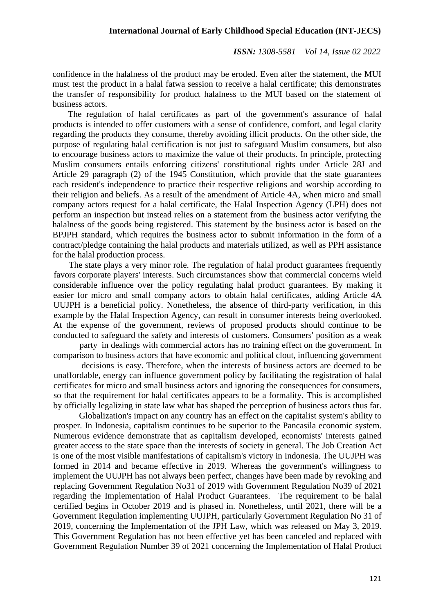confidence in the halalness of the product may be eroded. Even after the statement, the MUI must test the product in a halal fatwa session to receive a halal certificate; this demonstrates the transfer of responsibility for product halalness to the MUI based on the statement of business actors.

The regulation of halal certificates as part of the government's assurance of halal products is intended to offer customers with a sense of confidence, comfort, and legal clarity regarding the products they consume, thereby avoiding illicit products. On the other side, the purpose of regulating halal certification is not just to safeguard Muslim consumers, but also to encourage business actors to maximize the value of their products. In principle, protecting Muslim consumers entails enforcing citizens' constitutional rights under Article 28J and Article 29 paragraph (2) of the 1945 Constitution, which provide that the state guarantees each resident's independence to practice their respective religions and worship according to their religion and beliefs. As a result of the amendment of Article 4A, when micro and small company actors request for a halal certificate, the Halal Inspection Agency (LPH) does not perform an inspection but instead relies on a statement from the business actor verifying the halalness of the goods being registered. This statement by the business actor is based on the BPJPH standard, which requires the business actor to submit information in the form of a contract/pledge containing the halal products and materials utilized, as well as PPH assistance for the halal production process.

The state plays a very minor role. The regulation of halal product guarantees frequently favors corporate players' interests. Such circumstances show that commercial concerns wield considerable influence over the policy regulating halal product guarantees. By making it easier for micro and small company actors to obtain halal certificates, adding Article 4A UUJPH is a beneficial policy. Nonetheless, the absence of third-party verification, in this example by the Halal Inspection Agency, can result in consumer interests being overlooked. At the expense of the government, reviews of proposed products should continue to be conducted to safeguard the safety and interests of customers. Consumers' position as a weak

party in dealings with commercial actors has no training effect on the government. In comparison to business actors that have economic and political clout, influencing government

decisions is easy. Therefore, when the interests of business actors are deemed to be unaffordable, energy can influence government policy by facilitating the registration of halal certificates for micro and small business actors and ignoring the consequences for consumers, so that the requirement for halal certificates appears to be a formality. This is accomplished by officially legalizing in state law what has shaped the perception of business actors thus far.

Globalization's impact on any country has an effect on the capitalist system's ability to prosper. In Indonesia, capitalism continues to be superior to the Pancasila economic system. Numerous evidence demonstrate that as capitalism developed, economists' interests gained greater access to the state space than the interests of society in general. The Job Creation Act is one of the most visible manifestations of capitalism's victory in Indonesia. The UUJPH was formed in 2014 and became effective in 2019. Whereas the government's willingness to implement the UUJPH has not always been perfect, changes have been made by revoking and replacing Government Regulation No31 of 2019 with Government Regulation No39 of 2021 regarding the Implementation of Halal Product Guarantees. The requirement to be halal certified begins in October 2019 and is phased in. Nonetheless, until 2021, there will be a Government Regulation implementing UUJPH, particularly Government Regulation No 31 of 2019, concerning the Implementation of the JPH Law, which was released on May 3, 2019. This Government Regulation has not been effective yet has been canceled and replaced with Government Regulation Number 39 of 2021 concerning the Implementation of Halal Product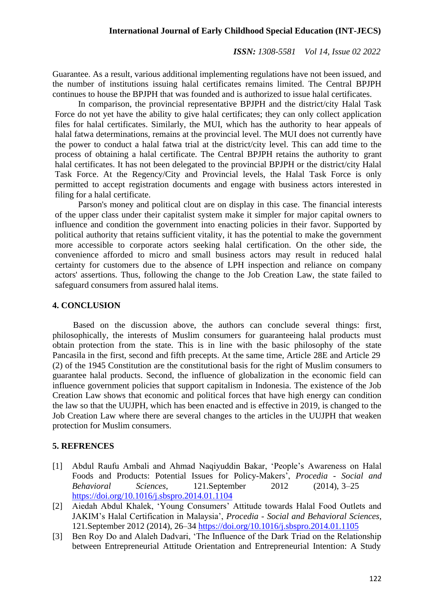Guarantee. As a result, various additional implementing regulations have not been issued, and the number of institutions issuing halal certificates remains limited. The Central BPJPH continues to house the BPJPH that was founded and is authorized to issue halal certificates.

In comparison, the provincial representative BPJPH and the district/city Halal Task Force do not yet have the ability to give halal certificates; they can only collect application files for halal certificates. Similarly, the MUI, which has the authority to hear appeals of halal fatwa determinations, remains at the provincial level. The MUI does not currently have the power to conduct a halal fatwa trial at the district/city level. This can add time to the process of obtaining a halal certificate. The Central BPJPH retains the authority to grant halal certificates. It has not been delegated to the provincial BPJPH or the district/city Halal Task Force. At the Regency/City and Provincial levels, the Halal Task Force is only permitted to accept registration documents and engage with business actors interested in filing for a halal certificate.

Parson's money and political clout are on display in this case. The financial interests of the upper class under their capitalist system make it simpler for major capital owners to influence and condition the government into enacting policies in their favor. Supported by political authority that retains sufficient vitality, it has the potential to make the government more accessible to corporate actors seeking halal certification. On the other side, the convenience afforded to micro and small business actors may result in reduced halal certainty for customers due to the absence of LPH inspection and reliance on company actors' assertions. Thus, following the change to the Job Creation Law, the state failed to safeguard consumers from assured halal items.

#### **4. CONCLUSION**

Based on the discussion above, the authors can conclude several things: first, philosophically, the interests of Muslim consumers for guaranteeing halal products must obtain protection from the state. This is in line with the basic philosophy of the state Pancasila in the first, second and fifth precepts. At the same time, Article 28E and Article 29 (2) of the 1945 Constitution are the constitutional basis for the right of Muslim consumers to guarantee halal products. Second, the influence of globalization in the economic field can influence government policies that support capitalism in Indonesia. The existence of the Job Creation Law shows that economic and political forces that have high energy can condition the law so that the UUJPH, which has been enacted and is effective in 2019, is changed to the Job Creation Law where there are several changes to the articles in the UUJPH that weaken protection for Muslim consumers.

#### **5. REFRENCES**

- [1] Abdul Raufu Ambali and Ahmad Naqiyuddin Bakar, 'People's Awareness on Halal Foods and Products: Potential Issues for Policy-Makers', *Procedia - Social and Behavioral Sciences*, 121.September 2012 (2014), 3–25 <https://doi.org/10.1016/j.sbspro.2014.01.1104>
- [2] Aiedah Abdul Khalek, 'Young Consumers' Attitude towards Halal Food Outlets and JAKIM's Halal Certification in Malaysia', *Procedia - Social and Behavioral Sciences*, 121.September 2012 (2014), 26–34 <https://doi.org/10.1016/j.sbspro.2014.01.1105>
- [3] Ben Roy Do and Alaleh Dadvari, 'The Influence of the Dark Triad on the Relationship between Entrepreneurial Attitude Orientation and Entrepreneurial Intention: A Study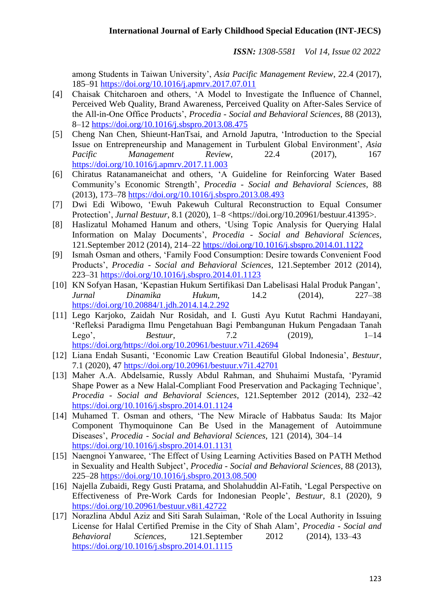among Students in Taiwan University', *Asia Pacific Management Review*, 22.4 (2017), 185–91 <https://doi.org/10.1016/j.apmrv.2017.07.011>

- [4] Chaisak Chitcharoen and others, 'A Model to Investigate the Influence of Channel, Perceived Web Quality, Brand Awareness, Perceived Quality on After-Sales Service of the All-in-One Office Products', *Procedia - Social and Behavioral Sciences*, 88 (2013), 8–12 <https://doi.org/10.1016/j.sbspro.2013.08.475>
- [5] Cheng Nan Chen, Shieunt-HanTsai, and Arnold Japutra, 'Introduction to the Special Issue on Entrepreneurship and Management in Turbulent Global Environment', *Asia Pacific Management Review*, 22.4 (2017), 167 <https://doi.org/10.1016/j.apmrv.2017.11.003>
- [6] Chiratus Ratanamaneichat and others, 'A Guideline for Reinforcing Water Based Community's Economic Strength', *Procedia - Social and Behavioral Sciences*, 88 (2013), 173–78 <https://doi.org/10.1016/j.sbspro.2013.08.493>
- [7] Dwi Edi Wibowo, 'Ewuh Pakewuh Cultural Reconstruction to Equal Consumer Protection', *Jurnal Bestuur*, 8.1 (2020), 1–8 <https://doi.org/10.20961/bestuur.41395>.
- [8] Haslizatul Mohamed Hanum and others, 'Using Topic Analysis for Querying Halal Information on Malay Documents', *Procedia - Social and Behavioral Sciences*, 121.September 2012 (2014), 214–22 <https://doi.org/10.1016/j.sbspro.2014.01.1122>
- [9] Ismah Osman and others, 'Family Food Consumption: Desire towards Convenient Food Products', *Procedia - Social and Behavioral Sciences*, 121.September 2012 (2014), 223–31 <https://doi.org/10.1016/j.sbspro.2014.01.1123>
- [10] KN Sofyan Hasan, 'Kepastian Hukum Sertifikasi Dan Labelisasi Halal Produk Pangan', *Jurnal Dinamika Hukum*, 14.2 (2014), 227–38 <https://doi.org/10.20884/1.jdh.2014.14.2.292>
- [11] Lego Karjoko, Zaidah Nur Rosidah, and I. Gusti Ayu Kutut Rachmi Handayani, 'Refleksi Paradigma Ilmu Pengetahuan Bagi Pembangunan Hukum Pengadaan Tanah Lego', *Bestuur*, 7.2 (2019), 1–14 https://doi.org/https://doi.org/10.20961/bestuur.v7i1.42694
- [12] Liana Endah Susanti, 'Economic Law Creation Beautiful Global Indonesia', *Bestuur*, 7.1 (2020), 47 <https://doi.org/10.20961/bestuur.v7i1.42701>
- [13] Maher A.A. Abdelsamie, Russly Abdul Rahman, and Shuhaimi Mustafa, 'Pyramid Shape Power as a New Halal-Compliant Food Preservation and Packaging Technique', *Procedia - Social and Behavioral Sciences*, 121.September 2012 (2014), 232–42 <https://doi.org/10.1016/j.sbspro.2014.01.1124>
- [14] Muhamed T. Osman and others, 'The New Miracle of Habbatus Sauda: Its Major Component Thymoquinone Can Be Used in the Management of Autoimmune Diseases', *Procedia - Social and Behavioral Sciences*, 121 (2014), 304–14 <https://doi.org/10.1016/j.sbspro.2014.01.1131>
- [15] Naengnoi Yanwaree, 'The Effect of Using Learning Activities Based on PATH Method in Sexuality and Health Subject', *Procedia - Social and Behavioral Sciences*, 88 (2013), 225–28 <https://doi.org/10.1016/j.sbspro.2013.08.500>
- [16] Najella Zubaidi, Regy Gusti Pratama, and Sholahuddin Al-Fatih, 'Legal Perspective on Effectiveness of Pre-Work Cards for Indonesian People', *Bestuur*, 8.1 (2020), 9 <https://doi.org/10.20961/bestuur.v8i1.42722>
- [17] Norazlina Abdul Aziz and Siti Sarah Sulaiman, 'Role of the Local Authority in Issuing License for Halal Certified Premise in the City of Shah Alam', *Procedia - Social and Behavioral Sciences*, 121.September 2012 (2014), 133–43 <https://doi.org/10.1016/j.sbspro.2014.01.1115>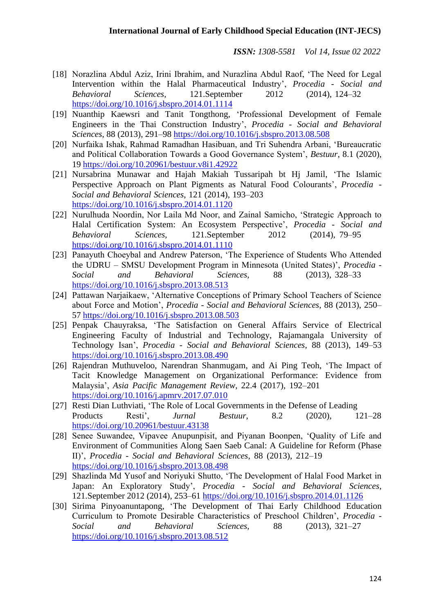- [18] Norazlina Abdul Aziz, Irini Ibrahim, and Nurazlina Abdul Raof, 'The Need for Legal Intervention within the Halal Pharmaceutical Industry', *Procedia - Social and Behavioral Sciences*, 121.September 2012 (2014), 124–32 <https://doi.org/10.1016/j.sbspro.2014.01.1114>
- [19] Nuanthip Kaewsri and Tanit Tongthong, 'Professional Development of Female Engineers in the Thai Construction Industry', *Procedia - Social and Behavioral Sciences*, 88 (2013), 291–98 <https://doi.org/10.1016/j.sbspro.2013.08.508>
- [20] Nurfaika Ishak, Rahmad Ramadhan Hasibuan, and Tri Suhendra Arbani, 'Bureaucratic and Political Collaboration Towards a Good Governance System', *Bestuur*, 8.1 (2020), 19 <https://doi.org/10.20961/bestuur.v8i1.42922>
- [21] Nursabrina Munawar and Hajah Makiah Tussaripah bt Hj Jamil, 'The Islamic Perspective Approach on Plant Pigments as Natural Food Colourants', *Procedia - Social and Behavioral Sciences*, 121 (2014), 193–203 <https://doi.org/10.1016/j.sbspro.2014.01.1120>
- [22] Nurulhuda Noordin, Nor Laila Md Noor, and Zainal Samicho, 'Strategic Approach to Halal Certification System: An Ecosystem Perspective', *Procedia - Social and Behavioral Sciences*, 121.September 2012 (2014), 79–95 <https://doi.org/10.1016/j.sbspro.2014.01.1110>
- [23] Panayuth Choeybal and Andrew Paterson, 'The Experience of Students Who Attended the UDRU – SMSU Development Program in Minnesota (United States)', *Procedia - Social and Behavioral Sciences*, 88 (2013), 328–33 <https://doi.org/10.1016/j.sbspro.2013.08.513>
- [24] Pattawan Narjaikaew, 'Alternative Conceptions of Primary School Teachers of Science about Force and Motion', *Procedia - Social and Behavioral Sciences*, 88 (2013), 250– 57 <https://doi.org/10.1016/j.sbspro.2013.08.503>
- [25] Penpak Chauyraksa, 'The Satisfaction on General Affairs Service of Electrical Engineering Faculty of Industrial and Technology, Rajamangala University of Technology Isan', *Procedia - Social and Behavioral Sciences*, 88 (2013), 149–53 <https://doi.org/10.1016/j.sbspro.2013.08.490>
- [26] Rajendran Muthuveloo, Narendran Shanmugam, and Ai Ping Teoh, 'The Impact of Tacit Knowledge Management on Organizational Performance: Evidence from Malaysia', *Asia Pacific Management Review*, 22.4 (2017), 192–201 <https://doi.org/10.1016/j.apmrv.2017.07.010>
- [27] Resti Dian Luthviati, 'The Role of Local Governments in the Defense of Leading Products Resti', *Jurnal Bestuur*, 8.2 (2020), 121–28 <https://doi.org/10.20961/bestuur.43138>
- [28] Senee Suwandee, Vipavee Anupunpisit, and Piyanan Boonpen, 'Quality of Life and Environment of Communities Along Saen Saeb Canal: A Guideline for Reform (Phase II)', *Procedia - Social and Behavioral Sciences*, 88 (2013), 212–19 <https://doi.org/10.1016/j.sbspro.2013.08.498>
- [29] Shazlinda Md Yusof and Noriyuki Shutto, 'The Development of Halal Food Market in Japan: An Exploratory Study', *Procedia - Social and Behavioral Sciences*, 121.September 2012 (2014), 253–61 <https://doi.org/10.1016/j.sbspro.2014.01.1126>
- [30] Sirima Pinyoanuntapong, 'The Development of Thai Early Childhood Education Curriculum to Promote Desirable Characteristics of Preschool Children', *Procedia - Social and Behavioral Sciences*, 88 (2013), 321–27 <https://doi.org/10.1016/j.sbspro.2013.08.512>